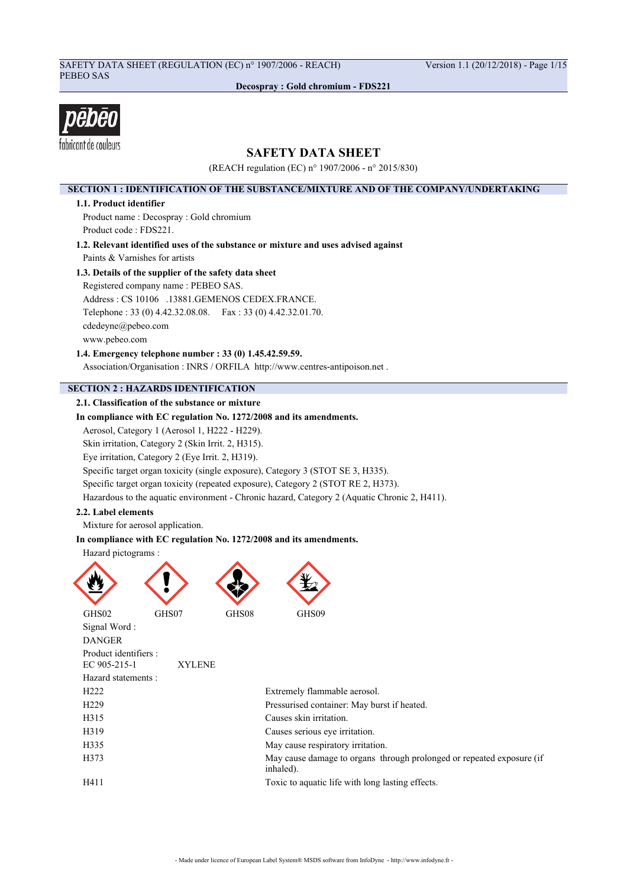## SAFETY DATA SHEET (REGULATION (EC) n° 1907/2006 - REACH) Version 1.1 (20/12/2018) - Page 1/15 PEBEO SAS

**Decospray : Gold chromium - FDS221**



## **SAFETY DATA SHEET**

(REACH regulation (EC) n° 1907/2006 - n° 2015/830)

## **SECTION 1 : IDENTIFICATION OF THE SUBSTANCE/MIXTURE AND OF THE COMPANY/UNDERTAKING**

### **1.1. Product identifier**

Product name : Decospray : Gold chromium Product code : FDS221.

**1.2. Relevant identified uses of the substance or mixture and uses advised against** Paints & Varnishes for artists

### **1.3. Details of the supplier of the safety data sheet**

Registered company name : PEBEO SAS. Address : CS 10106 .13881.GEMENOS CEDEX.FRANCE. Telephone : 33 (0) 4.42.32.08.08. Fax : 33 (0) 4.42.32.01.70. cdedeyne@pebeo.com www.pebeo.com

**1.4. Emergency telephone number : 33 (0) 1.45.42.59.59.**

Association/Organisation : INRS / ORFILA http://www.centres-antipoison.net .

## **SECTION 2 : HAZARDS IDENTIFICATION**

## **2.1. Classification of the substance or mixture**

## **In compliance with EC regulation No. 1272/2008 and its amendments.**

Aerosol, Category 1 (Aerosol 1, H222 - H229).

Skin irritation, Category 2 (Skin Irrit. 2, H315).

Eye irritation, Category 2 (Eye Irrit. 2, H319).

Specific target organ toxicity (single exposure), Category 3 (STOT SE 3, H335).

Specific target organ toxicity (repeated exposure), Category 2 (STOT RE 2, H373).

Hazardous to the aquatic environment - Chronic hazard, Category 2 (Aquatic Chronic 2, H411).

### **2.2. Label elements**

Mixture for aerosol application.

### **In compliance with EC regulation No. 1272/2008 and its amendments.**

Hazard pictograms :

DANGER

Product identifiers :



Signal Word :

| EC 905-215-1        | <b>XYLENE</b> |                                                                                    |
|---------------------|---------------|------------------------------------------------------------------------------------|
| Hazard statements : |               |                                                                                    |
| H <sub>222</sub>    |               | Extremely flammable aerosol.                                                       |
| H <sub>229</sub>    |               | Pressurised container: May burst if heated.                                        |
| H315                |               | Causes skin irritation.                                                            |
| H319                |               | Causes serious eye irritation.                                                     |
| H335                |               | May cause respiratory irritation.                                                  |
| H373                |               | May cause damage to organs through prolonged or repeated exposure (if<br>inhaled). |
| H411                |               | Toxic to aquatic life with long lasting effects.                                   |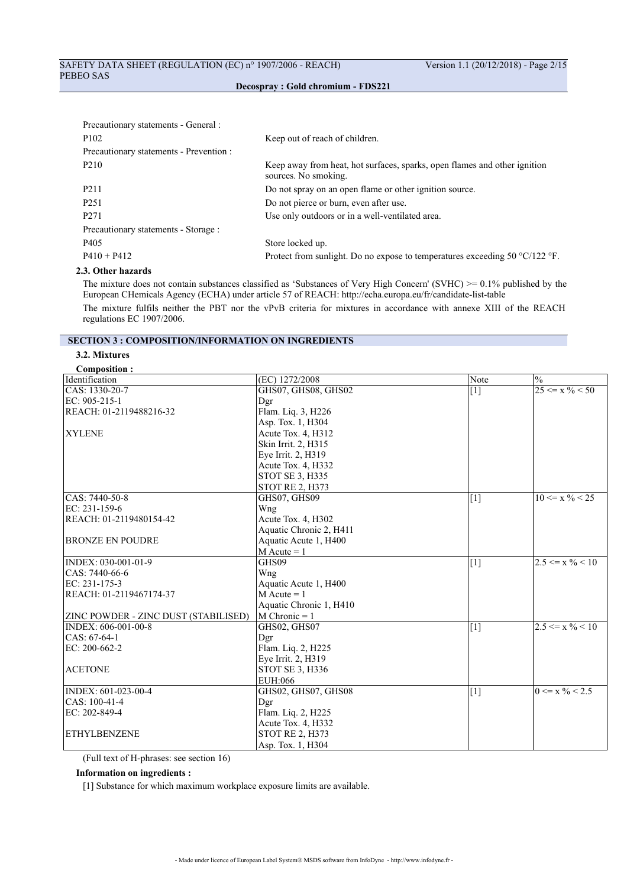| Precautionary statements - General :    |                                                                                                   |
|-----------------------------------------|---------------------------------------------------------------------------------------------------|
| P <sub>102</sub>                        | Keep out of reach of children.                                                                    |
| Precautionary statements - Prevention : |                                                                                                   |
| P <sub>2</sub> 10                       | Keep away from heat, hot surfaces, sparks, open flames and other ignition<br>sources. No smoking. |
| P <sub>2</sub> 11                       | Do not spray on an open flame or other ignition source.                                           |
| P <sub>251</sub>                        | Do not pierce or burn, even after use.                                                            |
| P <sub>271</sub>                        | Use only outdoors or in a well-ventilated area.                                                   |
| Precautionary statements - Storage :    |                                                                                                   |
| P <sub>405</sub>                        | Store locked up.                                                                                  |
| $P410 + P412$                           | Protect from sunlight. Do no expose to temperatures exceeding 50 $\degree$ C/122 $\degree$ F.     |
|                                         |                                                                                                   |

## **2.3. Other hazards**

The mixture does not contain substances classified as 'Substances of Very High Concern' (SVHC) >= 0.1% published by the European CHemicals Agency (ECHA) under article 57 of REACH: http://echa.europa.eu/fr/candidate-list-table The mixture fulfils neither the PBT nor the vPvB criteria for mixtures in accordance with annexe XIII of the REACH regulations EC 1907/2006.

## **SECTION 3 : COMPOSITION/INFORMATION ON INGREDIENTS**

## **3.2. Mixtures**

| <b>Composition:</b>                         |                         |       |                               |
|---------------------------------------------|-------------------------|-------|-------------------------------|
| Identification                              | (EC) 1272/2008          | Note  | $\frac{0}{0}$                 |
| $ CAS: 1330-20-7$                           | GHS07, GHS08, GHS02     | $[1]$ | $25 \le x \% \le 50$          |
| EC: 905-215-1                               | Dgr                     |       |                               |
| REACH: 01-2119488216-32                     | Flam. Liq. 3, H226      |       |                               |
|                                             | Asp. Tox. 1, H304       |       |                               |
| <b>XYLENE</b>                               | Acute Tox. 4, H312      |       |                               |
|                                             | Skin Irrit. 2, H315     |       |                               |
|                                             | Eye Irrit. 2, H319      |       |                               |
|                                             | Acute Tox. 4, H332      |       |                               |
|                                             | STOT SE 3, H335         |       |                               |
|                                             | <b>STOT RE 2, H373</b>  |       |                               |
| $ CAS: 7440-50-8$                           | GHS07, GHS09            | $[1]$ | $10 \le x \% \le 25$          |
| EC: 231-159-6                               | Wng                     |       |                               |
| REACH: 01-2119480154-42                     | Acute Tox. 4, H302      |       |                               |
|                                             | Aquatic Chronic 2, H411 |       |                               |
| <b>BRONZE EN POUDRE</b>                     | Aquatic Acute 1, H400   |       |                               |
|                                             | $M$ Acute = 1           |       |                               |
| INDEX: 030-001-01-9                         | GHS09                   | $[1]$ | $2.5 \le x \frac{0}{6} < 10$  |
| CAS: 7440-66-6                              | Wng                     |       |                               |
| EC: 231-175-3                               | Aquatic Acute 1, H400   |       |                               |
| REACH: 01-2119467174-37                     | $M$ Acute = 1           |       |                               |
|                                             | Aquatic Chronic 1, H410 |       |                               |
| <b>ZINC POWDER - ZINC DUST (STABILISED)</b> | $M$ Chronic = 1         |       |                               |
| INDEX: 606-001-00-8                         | GHS02, GHS07            | $[1]$ | $2.5 \leq x \frac{9}{6} < 10$ |
| CAS: 67-64-1                                | Dgr                     |       |                               |
| EC: 200-662-2                               | Flam. Liq. 2, H225      |       |                               |
|                                             | Eye Irrit. 2, H319      |       |                               |
| <b>ACETONE</b>                              | STOT SE 3, H336         |       |                               |
|                                             | EUH:066                 |       |                               |
| INDEX: 601-023-00-4                         | GHS02, GHS07, GHS08     | $[1]$ | $0 \le x \frac{9}{6} < 2.5$   |
| $ CAS: 100-41-4$                            | Dgr                     |       |                               |
| EC: 202-849-4                               | Flam. Liq. 2, H225      |       |                               |
|                                             | Acute Tox. 4, H332      |       |                               |
| ETHYLBENZENE                                | <b>STOT RE 2, H373</b>  |       |                               |
|                                             | Asp. Tox. 1, H304       |       |                               |

(Full text of H-phrases: see section 16)

### **Information on ingredients :**

[1] Substance for which maximum workplace exposure limits are available.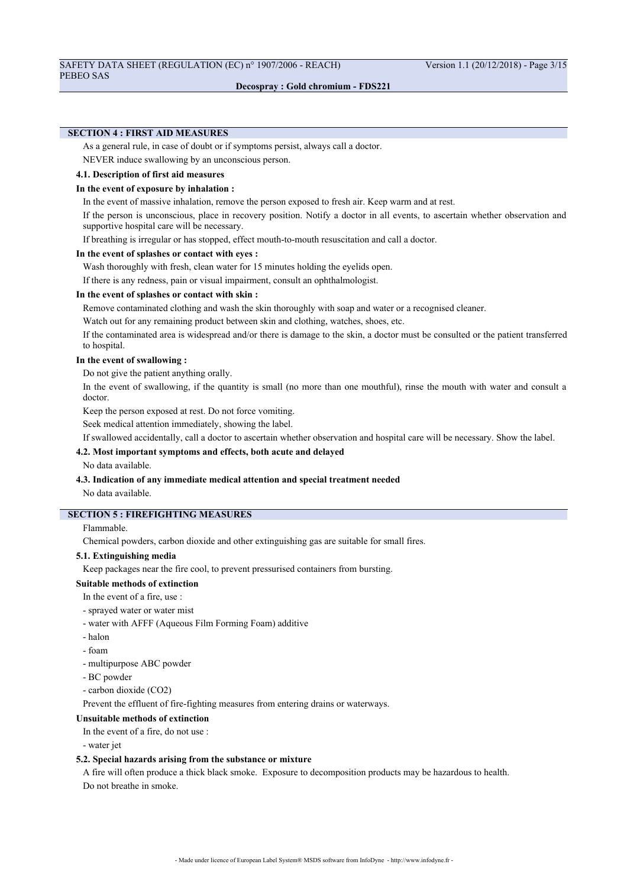## **SECTION 4 : FIRST AID MEASURES**

As a general rule, in case of doubt or if symptoms persist, always call a doctor.

NEVER induce swallowing by an unconscious person.

## **4.1. Description of first aid measures**

### **In the event of exposure by inhalation :**

In the event of massive inhalation, remove the person exposed to fresh air. Keep warm and at rest.

If the person is unconscious, place in recovery position. Notify a doctor in all events, to ascertain whether observation and supportive hospital care will be necessary.

If breathing is irregular or has stopped, effect mouth-to-mouth resuscitation and call a doctor.

#### **In the event of splashes or contact with eyes :**

Wash thoroughly with fresh, clean water for 15 minutes holding the eyelids open.

If there is any redness, pain or visual impairment, consult an ophthalmologist.

### **In the event of splashes or contact with skin :**

Remove contaminated clothing and wash the skin thoroughly with soap and water or a recognised cleaner.

Watch out for any remaining product between skin and clothing, watches, shoes, etc.

If the contaminated area is widespread and/or there is damage to the skin, a doctor must be consulted or the patient transferred to hospital.

#### **In the event of swallowing :**

Do not give the patient anything orally.

In the event of swallowing, if the quantity is small (no more than one mouthful), rinse the mouth with water and consult a doctor.

Keep the person exposed at rest. Do not force vomiting.

Seek medical attention immediately, showing the label.

If swallowed accidentally, call a doctor to ascertain whether observation and hospital care will be necessary. Show the label.

### **4.2. Most important symptoms and effects, both acute and delayed**

No data available.

#### **4.3. Indication of any immediate medical attention and special treatment needed**

No data available.

## **SECTION 5 : FIREFIGHTING MEASURES**

## Flammable.

Chemical powders, carbon dioxide and other extinguishing gas are suitable for small fires.

#### **5.1. Extinguishing media**

Keep packages near the fire cool, to prevent pressurised containers from bursting.

## **Suitable methods of extinction**

In the event of a fire, use :

- sprayed water or water mist
- water with AFFF (Aqueous Film Forming Foam) additive
- halon
- foam
- multipurpose ABC powder
- BC powder
- carbon dioxide (CO2)

Prevent the effluent of fire-fighting measures from entering drains or waterways.

#### **Unsuitable methods of extinction**

In the event of a fire, do not use :

- water jet

#### **5.2. Special hazards arising from the substance or mixture**

A fire will often produce a thick black smoke. Exposure to decomposition products may be hazardous to health. Do not breathe in smoke.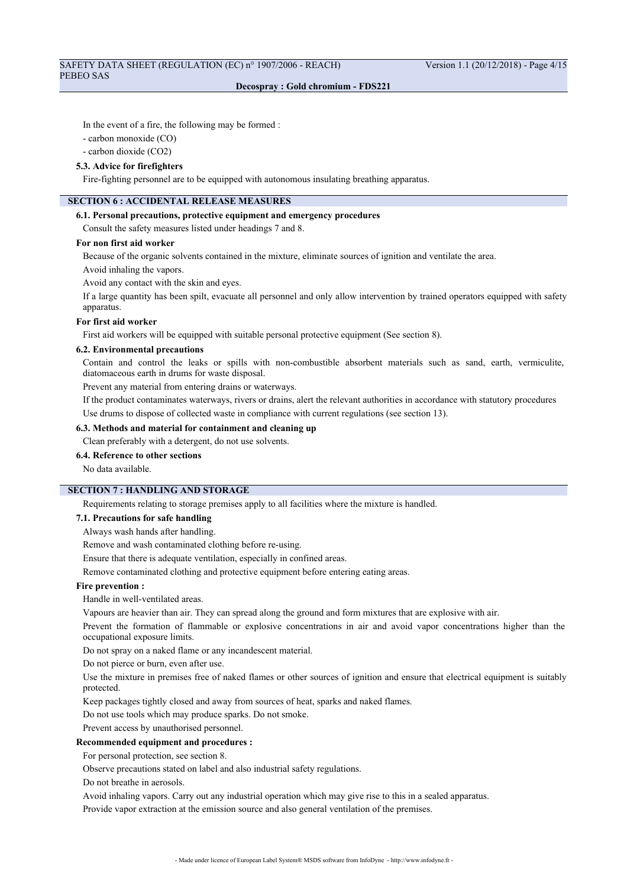In the event of a fire, the following may be formed :

- carbon monoxide (CO)

- carbon dioxide (CO2)

#### **5.3. Advice for firefighters**

Fire-fighting personnel are to be equipped with autonomous insulating breathing apparatus.

## **SECTION 6 : ACCIDENTAL RELEASE MEASURES**

#### **6.1. Personal precautions, protective equipment and emergency procedures**

Consult the safety measures listed under headings 7 and 8.

#### **For non first aid worker**

Because of the organic solvents contained in the mixture, eliminate sources of ignition and ventilate the area.

Avoid inhaling the vapors.

Avoid any contact with the skin and eyes.

If a large quantity has been spilt, evacuate all personnel and only allow intervention by trained operators equipped with safety apparatus.

#### **For first aid worker**

First aid workers will be equipped with suitable personal protective equipment (See section 8).

#### **6.2. Environmental precautions**

Contain and control the leaks or spills with non-combustible absorbent materials such as sand, earth, vermiculite, diatomaceous earth in drums for waste disposal.

Prevent any material from entering drains or waterways.

If the product contaminates waterways, rivers or drains, alert the relevant authorities in accordance with statutory procedures Use drums to dispose of collected waste in compliance with current regulations (see section 13).

#### **6.3. Methods and material for containment and cleaning up**

Clean preferably with a detergent, do not use solvents.

# **6.4. Reference to other sections**

No data available.

## **SECTION 7 : HANDLING AND STORAGE**

Requirements relating to storage premises apply to all facilities where the mixture is handled.

## **7.1. Precautions for safe handling**

Always wash hands after handling.

Remove and wash contaminated clothing before re-using.

Ensure that there is adequate ventilation, especially in confined areas.

Remove contaminated clothing and protective equipment before entering eating areas.

### **Fire prevention :**

Handle in well-ventilated areas.

Vapours are heavier than air. They can spread along the ground and form mixtures that are explosive with air.

Prevent the formation of flammable or explosive concentrations in air and avoid vapor concentrations higher than the occupational exposure limits.

Do not spray on a naked flame or any incandescent material.

Do not pierce or burn, even after use.

Use the mixture in premises free of naked flames or other sources of ignition and ensure that electrical equipment is suitably protected.

Keep packages tightly closed and away from sources of heat, sparks and naked flames.

Do not use tools which may produce sparks. Do not smoke.

Prevent access by unauthorised personnel.

### **Recommended equipment and procedures :**

For personal protection, see section 8.

Observe precautions stated on label and also industrial safety regulations.

Do not breathe in aerosols.

Avoid inhaling vapors. Carry out any industrial operation which may give rise to this in a sealed apparatus.

Provide vapor extraction at the emission source and also general ventilation of the premises.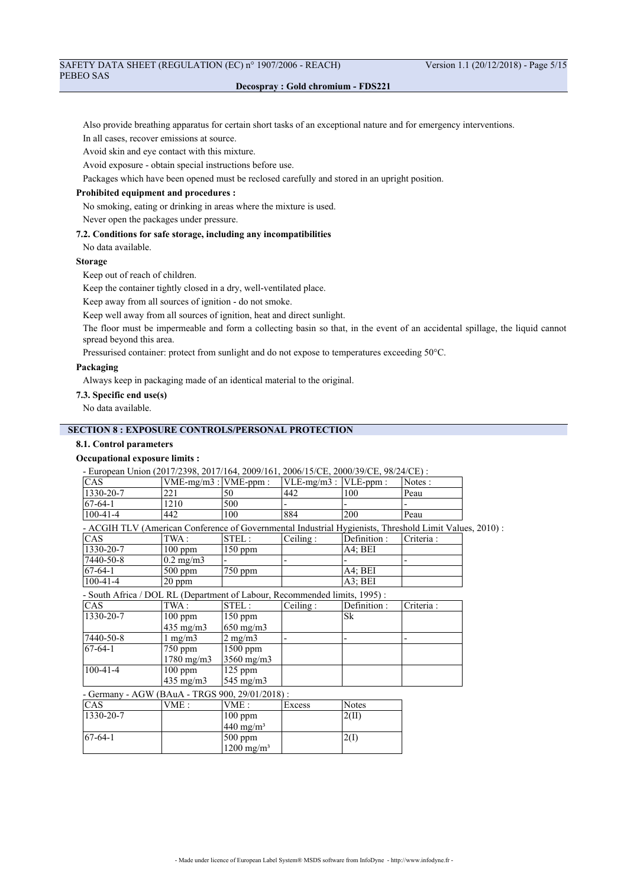## SAFETY DATA SHEET (REGULATION (EC) n° 1907/2006 - REACH) Version 1.1 (20/12/2018) - Page 5/15 PEBEO SAS

## **Decospray : Gold chromium - FDS221**

Also provide breathing apparatus for certain short tasks of an exceptional nature and for emergency interventions.

In all cases, recover emissions at source.

Avoid skin and eye contact with this mixture.

Avoid exposure - obtain special instructions before use.

Packages which have been opened must be reclosed carefully and stored in an upright position.

## **Prohibited equipment and procedures :**

No smoking, eating or drinking in areas where the mixture is used.

Never open the packages under pressure.

## **7.2. Conditions for safe storage, including any incompatibilities**

No data available.

## **Storage**

Keep out of reach of children.

Keep the container tightly closed in a dry, well-ventilated place.

Keep away from all sources of ignition - do not smoke.

Keep well away from all sources of ignition, heat and direct sunlight.

The floor must be impermeable and form a collecting basin so that, in the event of an accidental spillage, the liquid cannot spread beyond this area.

Pressurised container: protect from sunlight and do not expose to temperatures exceeding 50°C.

## **Packaging**

Always keep in packaging made of an identical material to the original.

### **7.3. Specific end use(s)**

No data available.

## **SECTION 8 : EXPOSURE CONTROLS/PERSONAL PROTECTION**

## **8.1. Control parameters**

## **Occupational exposure limits :**

- European Union (2017/2398, 2017/164, 2009/161, 2006/15/CE, 2000/39/CE, 98/24/CE) :

| <b>CAS</b>      | $VME-mg/m3:$ $VME-ppm$ : |     | $ VLE-mg/m3 $ : $ VLE-ppm $ : |     | Notes: |
|-----------------|--------------------------|-----|-------------------------------|-----|--------|
| $1330 - 20 - 7$ | つつ<br>∠∠ 1               | 50  | 442                           | 100 | Peau   |
| $ 67-64-1 $     | 1210                     | 500 |                               |     |        |
| $100-41-4$      | 442                      | 100 | 884                           | 200 | Peau   |

- ACGIH TLV (American Conference of Governmental Industrial Hygienists, Threshold Limit Values, 2010) :

| <sub>CAS</sub>    | TWA :              | STEL:     | Ceiling: | Definition: | Criteria: |
|-------------------|--------------------|-----------|----------|-------------|-----------|
| $1330 - 20 - 7$   | $100$ ppm          | $150$ ppm |          | A4: BEI     |           |
| $ 7440 - 50 - 8 $ | $0.2 \text{ mg/m}$ |           |          |             | -         |
| $ 67-64-1$        | $500$ ppm          | $750$ ppm |          | A4: BEI     |           |
| $ 100-41-4$       | $20$ ppm           |           |          | $AA$ : BEI  |           |

- South Africa / DOL RL (Department of Labour, Recommended limits, 1995) :

| CAS               | TWA:                                   | STEL:               | Ceiling: | Definition : | Criteria: |
|-------------------|----------------------------------------|---------------------|----------|--------------|-----------|
| 1330-20-7         | $100$ ppm                              | $150$ ppm           |          | Sk           |           |
|                   | $435 \text{ mg/m}$                     | $650 \text{ mg/m}$  |          |              |           |
| $ 7440 - 50 - 8 $ | $1 \text{ mg/m}$                       | $2 \text{ mg/m}$    |          |              |           |
| $67-64-1$         | $750$ ppm                              | $1500$ ppm          |          |              |           |
|                   | $1780 \text{ mg/m}$                    | $3560 \text{ mg/m}$ |          |              |           |
| $100 - 41 - 4$    | $100$ ppm                              | $125$ ppm           |          |              |           |
|                   | $435 \text{ mg/m}$                     | $545 \text{ mg/m}$  |          |              |           |
| $\sim$            | $1.9117(B) + 1.7729(0.00, 0.01)(0.11)$ |                     |          |              |           |

- Germany - AGW (BAuA - TRGS 900, 29/01/2018) :

| <b>CAS</b>      | VME: | VME:                   | Excess | Notes |
|-----------------|------|------------------------|--------|-------|
| $1330 - 20 - 7$ |      | $100$ ppm              |        | 2(II) |
|                 |      | $440 \text{ mg/m}^3$   |        |       |
| $67-64-1$       |      | 500 ppm                |        | 2(    |
|                 |      | 1200 mg/m <sup>3</sup> |        |       |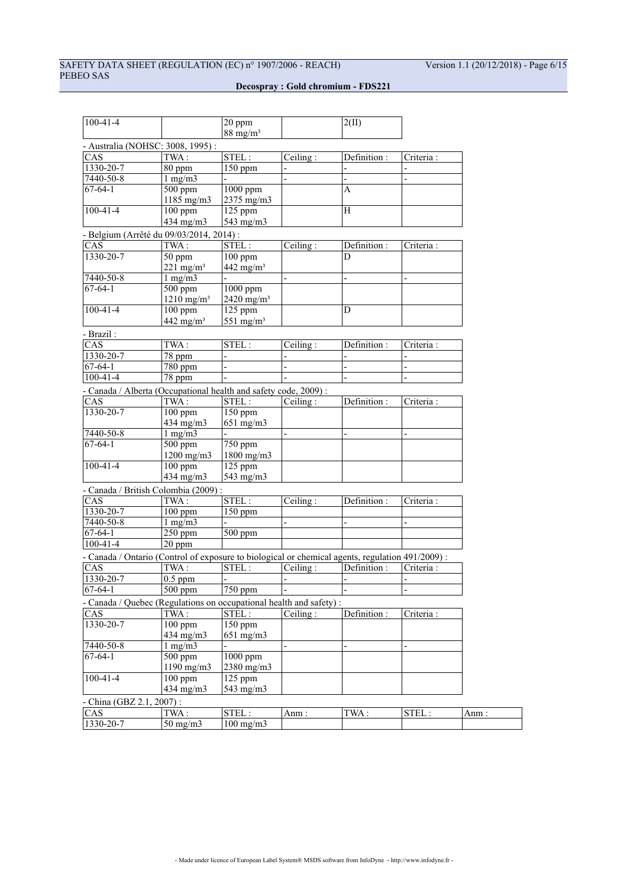| $100 - 41 - 4$                                                                                   |                                    | 20 ppm<br>$88 \text{ mg/m}^3$ |                               | 2(II)                    |            |       |
|--------------------------------------------------------------------------------------------------|------------------------------------|-------------------------------|-------------------------------|--------------------------|------------|-------|
|                                                                                                  |                                    |                               |                               |                          |            |       |
| - Australia (NOHSC: 3008, 1995):                                                                 |                                    |                               |                               |                          |            |       |
| CAS                                                                                              | TWA:                               | STEL:                         | Ceiling:                      | Definition:              | Criteria:  |       |
| 1330-20-7                                                                                        | 80 ppm                             | $150$ ppm                     |                               |                          |            |       |
| 7440-50-8                                                                                        | $1 \overline{\text{mg}}/\text{m}3$ |                               |                               | $\overline{a}$           |            |       |
| $\overline{67-64-1}$                                                                             | $\overline{500}$ ppm               | 1000 ppm                      |                               | Α                        |            |       |
| $100 - 41 - 4$                                                                                   | $1185$ mg/m $3$                    | 2375 mg/m3                    |                               | H                        |            |       |
|                                                                                                  | $100$ ppm                          | 125 ppm                       |                               |                          |            |       |
|                                                                                                  | 434 mg/m3                          | 543 mg/m3                     |                               |                          |            |       |
| - Belgium (Arrêté du 09/03/2014, 2014) :                                                         |                                    |                               |                               |                          |            |       |
| CAS                                                                                              | TWA:                               | STEL:                         | Ceiling:                      | Definition:              | Criteria : |       |
| $1330 - 20 - 7$                                                                                  | 50 ppm                             | $100$ ppm                     |                               | D                        |            |       |
|                                                                                                  | $221$ mg/m <sup>3</sup>            | 442 mg/m <sup>3</sup>         |                               |                          |            |       |
| 7440-50-8                                                                                        | $1$ mg/m $3$                       |                               |                               |                          |            |       |
| $67 - 64 - 1$                                                                                    | $500$ ppm                          | 1000 ppm                      |                               |                          |            |       |
|                                                                                                  | $1210$ mg/m <sup>3</sup>           | 2420 mg/m <sup>3</sup>        |                               |                          |            |       |
| $100 - 41 - 4$                                                                                   | $100$ ppm                          | 125 ppm                       |                               | D                        |            |       |
|                                                                                                  | $442$ mg/m <sup>3</sup>            | $551$ mg/m <sup>3</sup>       |                               |                          |            |       |
| - Brazil:                                                                                        |                                    |                               |                               |                          |            |       |
| CAS                                                                                              | TWA:                               | STEL:                         | $\overline{\text{Ceiling}}$ : | Definition:              | Criteria : |       |
| 1330-20-7                                                                                        | 78 ppm                             |                               |                               |                          |            |       |
| $67 - 64 - 1$                                                                                    | 780 ppm                            |                               |                               | $\overline{\phantom{0}}$ |            |       |
| $100 - 41 - 4$                                                                                   | 78 ppm                             |                               |                               | $\overline{a}$           |            |       |
| - Canada / Alberta (Occupational health and safety code, 2009) :                                 |                                    |                               |                               |                          |            |       |
| CAS                                                                                              | TWA:                               | STEL:                         | Ceiling:                      | Definition:              | Criteria:  |       |
| 1330-20-7                                                                                        | $100$ ppm                          | 150 ppm                       |                               |                          |            |       |
|                                                                                                  | 434 mg/m3                          | $651$ mg/m $3$                |                               |                          |            |       |
| $7440 - 50 - 8$                                                                                  | $1 \overline{\text{mg}}/\text{m}3$ |                               |                               |                          |            |       |
| $67 - 64 - 1$                                                                                    | $500$ ppm                          | $750$ ppm                     |                               |                          |            |       |
|                                                                                                  | $1200$ mg/m $3$                    | $1800$ mg/m $3$               |                               |                          |            |       |
| $100 - 41 - 4$                                                                                   | 100 ppm                            | 125 ppm                       |                               |                          |            |       |
|                                                                                                  | 434 mg/m3                          | 543 mg/m3                     |                               |                          |            |       |
| - Canada / British Colombia (2009):                                                              |                                    |                               |                               |                          |            |       |
| CAS                                                                                              | TWA:                               | STEL:                         | Ceiling:                      | Definition :             | Criteria:  |       |
| 1330-20-7                                                                                        | $100$ ppm                          | 150 ppm                       |                               |                          |            |       |
| 7440-50-8                                                                                        | $1$ mg/m $3$                       |                               | $\overline{a}$                |                          |            |       |
| $67 - 64 - 1$                                                                                    | 250 ppm                            | 500 ppm                       |                               |                          |            |       |
| $100 - 41 - 4$                                                                                   | 20 ppm                             |                               |                               |                          |            |       |
| - Canada / Ontario (Control of exposure to biological or chemical agents, regulation 491/2009) : |                                    |                               |                               |                          |            |       |
| CAS                                                                                              | TWA:                               | STEL:                         | Ceiling:                      | Definition:              | Criteria : |       |
| 1330-20-7                                                                                        | $0.5$ ppm                          |                               |                               |                          |            |       |
| $67 - 64 - 1$                                                                                    | $\sqrt{500 \text{ ppm}}$           | $750$ ppm                     |                               |                          |            |       |
| - Canada / Quebec (Regulations on occupational health and safety) :                              |                                    |                               |                               |                          |            |       |
| <b>CAS</b>                                                                                       | TWA:                               | STEL:                         | Ceiling:                      |                          |            |       |
| 1330-20-7                                                                                        |                                    |                               |                               | Definition :             | Criteria : |       |
|                                                                                                  | 100 ppm<br>434 mg/m3               | 150 ppm<br>$651 \text{ mg/m}$ |                               |                          |            |       |
| 7440-50-8                                                                                        | $1$ mg/m $3$                       |                               |                               |                          |            |       |
| $67 - 64 - 1$                                                                                    | 500 ppm                            | 1000 ppm                      |                               |                          |            |       |
|                                                                                                  | 1190 mg/m $3$                      |                               |                               |                          |            |       |
|                                                                                                  |                                    | 2380 mg/m3                    |                               |                          |            |       |
| $100 - 41 - 4$                                                                                   | $100$ ppm                          | $125$ ppm                     |                               |                          |            |       |
|                                                                                                  | 434 mg/m3                          | 543 mg/m3                     |                               |                          |            |       |
| - China (GBZ 2.1, 2007) :                                                                        |                                    |                               |                               |                          |            |       |
| CAS                                                                                              | TWA:                               | $\overline{\text{STEL}}$ :    | Anm:                          | TWA:                     | STEL:      | Anm : |
| 1330-20-7                                                                                        | $50 \text{ mg/m}$                  | $100$ mg/m $3$                |                               |                          |            |       |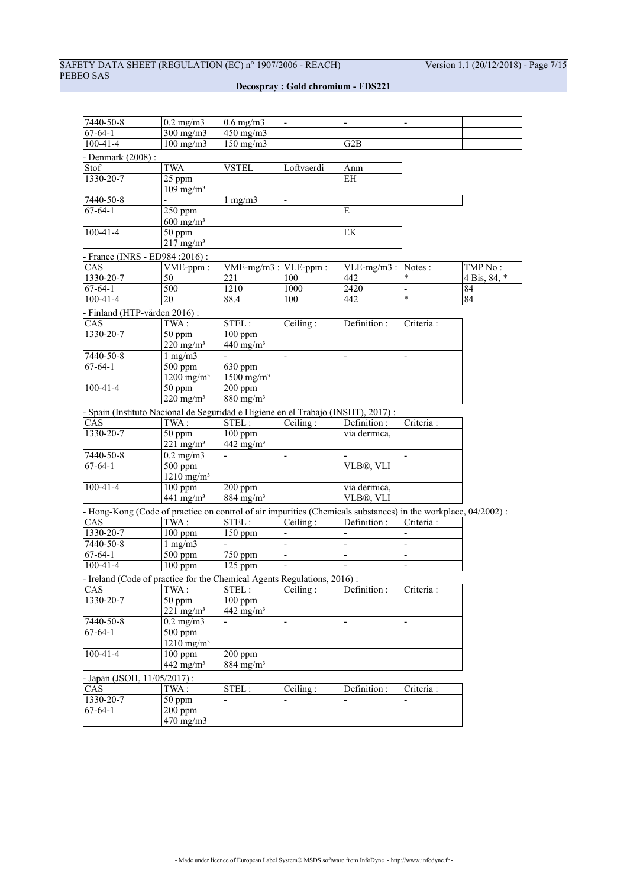# SAFETY DATA SHEET (REGULATION (EC) n° 1907/2006 - REACH) Version 1.1 (20/12/2018) - Page 7/15 PEBEO SAS

| 7440-50-8                                                                                                      | $0.2$ mg/m $3$                        | $0.6$ mg/m $3$                    |            |               |            |              |
|----------------------------------------------------------------------------------------------------------------|---------------------------------------|-----------------------------------|------------|---------------|------------|--------------|
| $67 - 64 - 1$                                                                                                  | $300$ mg/m $3$                        | $450$ mg/m $3$                    |            |               |            |              |
| $100 - 41 - 4$                                                                                                 | $100$ mg/m $3$                        | $150$ mg/m $3$                    |            | G2B           |            |              |
| - Denmark (2008) :                                                                                             |                                       |                                   |            |               |            |              |
| Stof                                                                                                           | <b>TWA</b>                            | <b>VSTEL</b>                      | Loftvaerdi | Anm           |            |              |
| $1330 - 20 - 7$                                                                                                | 25 ppm                                |                                   |            | <b>EH</b>     |            |              |
|                                                                                                                | $109$ mg/m <sup>3</sup>               |                                   |            |               |            |              |
| 7440-50-8                                                                                                      |                                       | $1$ mg/m $3$                      |            |               |            |              |
| $67-64-1$                                                                                                      | $\overline{250}$ ppm                  |                                   |            | E             |            |              |
|                                                                                                                | $600 \text{ mg/m}^3$                  |                                   |            |               |            |              |
| $100 - 41 - 4$                                                                                                 | 50 ppm                                |                                   |            | EK            |            |              |
|                                                                                                                | $217$ mg/m <sup>3</sup>               |                                   |            |               |            |              |
| - France (INRS - ED984 : 2016) :                                                                               |                                       |                                   |            |               |            |              |
| CAS                                                                                                            | VME-ppm:                              | $VME-mg/m3$ :                     | VLE-ppm:   | $VLE-mg/m3$ : | Notes :    | TMP No :     |
| 1330-20-7                                                                                                      | 50                                    | 221                               | 100        | 442           | *          | 4 Bis, 84, * |
| $67-64-1$                                                                                                      | 500                                   | 1210                              | 1000       | 2420          |            | 84           |
| $100 - 41 - 4$                                                                                                 | $\overline{20}$                       | 88.4                              | 100        | 442           | $\ast$     | 84           |
|                                                                                                                |                                       |                                   |            |               |            |              |
| - Finland (HTP-värden 2016):                                                                                   | TWA:                                  |                                   |            | Definition:   | Criteria:  |              |
| CAS<br>1330-20-7                                                                                               |                                       | STEL:                             | Ceiling:   |               |            |              |
|                                                                                                                | 50 ppm                                | $100$ ppm                         |            |               |            |              |
| 7440-50-8                                                                                                      | $220$ mg/m <sup>3</sup>               | $440$ mg/m <sup>3</sup>           |            |               |            |              |
| $67 - 64 - 1$                                                                                                  | $1$ mg/m $3$<br>500 ppm               | $\overline{630}$ ppm              |            |               |            |              |
|                                                                                                                | $1200$ mg/m <sup>3</sup>              | $1500$ mg/m <sup>3</sup>          |            |               |            |              |
| $100 - 41 - 4$                                                                                                 | 50 ppm                                | $\overline{200}$ ppm              |            |               |            |              |
|                                                                                                                | $220 \text{ mg/m}^3$                  | $880$ mg/m <sup>3</sup>           |            |               |            |              |
|                                                                                                                |                                       |                                   |            |               |            |              |
| - Spain (Instituto Nacional de Seguridad e Higiene en el Trabajo (INSHT), 2017) :                              |                                       |                                   |            |               |            |              |
| CAS                                                                                                            | TWA:                                  | STEL:                             | Ceiling:   | Definition :  | Criteria:  |              |
| 1330-20-7                                                                                                      | 50 ppm                                | $100$ ppm                         |            | via dermica,  |            |              |
|                                                                                                                | $221$ mg/m <sup>3</sup>               | $442$ mg/m <sup>3</sup>           |            |               |            |              |
| 7440-50-8<br>$67 - 64 - 1$                                                                                     | $0.2$ mg/m $3$                        |                                   |            |               |            |              |
|                                                                                                                | $500$ ppm                             |                                   |            | VLB®, VLI     |            |              |
| $100 - 41 - 4$                                                                                                 | $1210$ mg/m <sup>3</sup><br>$100$ ppm | $200$ ppm                         |            | via dermica,  |            |              |
|                                                                                                                | 441 mg/m <sup>3</sup>                 | $884$ mg/m <sup>3</sup>           |            | VLB®, VLI     |            |              |
|                                                                                                                |                                       |                                   |            |               |            |              |
| - Hong-Kong (Code of practice on control of air impurities (Chemicals substances) in the workplace, 04/2002) : |                                       |                                   |            |               |            |              |
| CAS                                                                                                            | TWA:                                  | STEL:                             | Ceiling:   | Definition:   | Criteria:  |              |
| 1330-20-7                                                                                                      | $100$ ppm                             | $150$ ppm                         |            |               |            |              |
| 7440-50-8                                                                                                      | $1$ mg/m $3$                          |                                   |            |               |            |              |
| $67 - 64 - 1$                                                                                                  | $500$ ppm                             | $\overline{750}$ ppm              |            |               |            |              |
| $100 - 41 - 4$                                                                                                 | $100$ ppm                             | $125$ ppm                         |            |               |            |              |
| - Ireland (Code of practice for the Chemical Agents Regulations, 2016):                                        |                                       |                                   |            |               |            |              |
| CAS                                                                                                            | TWA :                                 | $STEL:$ $\boxed{\text{Ceiling}:}$ |            | Definition :  | Criteria : |              |
| 1330-20-7                                                                                                      | 50 ppm                                | $100$ ppm                         |            |               |            |              |
|                                                                                                                | $221$ mg/m <sup>3</sup>               | $442$ mg/m <sup>3</sup>           |            |               |            |              |
| 7440-50-8                                                                                                      | $0.2$ mg/m $3$                        |                                   |            |               |            |              |
| $67 - 64 - 1$                                                                                                  | $500$ ppm                             |                                   |            |               |            |              |
|                                                                                                                | $1210$ mg/m <sup>3</sup>              |                                   |            |               |            |              |
| $100 - 41 - 4$                                                                                                 | $100$ ppm                             | $200$ ppm                         |            |               |            |              |
|                                                                                                                | 442 mg/m $3$                          | $884$ mg/m <sup>3</sup>           |            |               |            |              |
| - Japan (JSOH, 11/05/2017) :                                                                                   |                                       |                                   |            |               |            |              |
| CAS                                                                                                            | TWA:                                  | STEL:                             | Ceiling:   | Definition :  | Criteria:  |              |
| 1330-20-7                                                                                                      | $50$ ppm                              |                                   |            |               |            |              |
| $67 - 64 - 1$                                                                                                  | $200$ ppm                             |                                   |            |               |            |              |
|                                                                                                                | 470 mg/m3                             |                                   |            |               |            |              |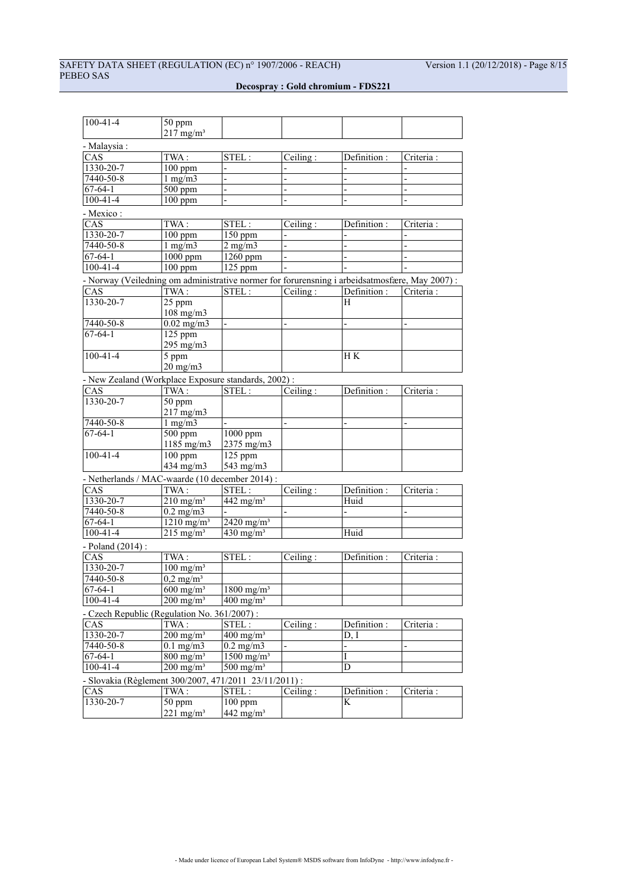# SAFETY DATA SHEET (REGULATION (EC) n° 1907/2006 - REACH) Version 1.1 (20/12/2018) - Page 8/15 PEBEO SAS

| $100 - 41 - 4$                                                                                 | 50 ppm                             |                                     |                          |                |                |
|------------------------------------------------------------------------------------------------|------------------------------------|-------------------------------------|--------------------------|----------------|----------------|
|                                                                                                | $217$ mg/m <sup>3</sup>            |                                     |                          |                |                |
| - Malaysia:                                                                                    |                                    |                                     |                          |                |                |
|                                                                                                |                                    |                                     |                          |                |                |
| CAS                                                                                            | TWA:                               | STEL:                               | Ceiling:                 | Definition:    | Criteria:      |
| 1330-20-7                                                                                      | $100$ ppm                          |                                     |                          |                |                |
| $7440 - 50 - 8$                                                                                | $1$ mg/m $3$                       |                                     |                          |                |                |
| $67 - 64 - 1$                                                                                  | $\frac{1}{500}$ ppm                | $\overline{a}$                      | $\overline{\phantom{0}}$ |                | $\overline{a}$ |
| $100 - 41 - 4$                                                                                 | $100$ ppm                          |                                     |                          |                |                |
| - Mexico:                                                                                      |                                    |                                     |                          |                |                |
| CAS                                                                                            | TWA:                               | STEL:                               | Ceiling:                 | Definition :   | Criteria:      |
| 1330-20-7                                                                                      | $100$ ppm                          | $150$ ppm                           |                          |                |                |
| 7440-50-8                                                                                      | $1$ mg/m $3$                       | $2$ mg/m $3$                        |                          |                |                |
| $67 - 64 - 1$                                                                                  | $1000$ ppm                         | $1260$ ppm                          | $\overline{a}$           |                |                |
| $100 - 41 - 4$                                                                                 | $100$ ppm                          | 125 ppm                             |                          |                |                |
| - Norway (Veiledning om administrative normer for forurensning i arbeidsatmosfære, May 2007) : |                                    |                                     |                          |                |                |
| CAS                                                                                            |                                    | STEL:                               |                          |                |                |
|                                                                                                | TWA:                               |                                     | Ceiling:                 | Definition :   | Criteria:      |
| 1330-20-7                                                                                      | 25 ppm                             |                                     |                          | H              |                |
|                                                                                                | $108$ mg/m $3$                     |                                     |                          |                |                |
| 7440-50-8                                                                                      | $0.02$ mg/m3                       |                                     |                          |                |                |
| $67 - 64 - 1$                                                                                  | 125 ppm                            |                                     |                          |                |                |
|                                                                                                | 295 mg/m3                          |                                     |                          |                |                |
| $100 - 41 - 4$                                                                                 | 5 ppm                              |                                     |                          | H K            |                |
|                                                                                                | $20 \text{ mg/m}$                  |                                     |                          |                |                |
| - New Zealand (Workplace Exposure standards, 2002):                                            |                                    |                                     |                          |                |                |
| CAS                                                                                            | TWA:                               | STEL:                               | Ceiling:                 | Definition:    | Criteria:      |
| 1330-20-7                                                                                      | $\overline{50}$ ppm                |                                     |                          |                |                |
|                                                                                                | 217 mg/m3                          |                                     |                          |                |                |
| 7440-50-8                                                                                      | $1$ mg/m $3$                       |                                     |                          | $\overline{a}$ | $\overline{a}$ |
| $67-64-1$                                                                                      | $500$ ppm                          | $1000$ ppm                          |                          |                |                |
|                                                                                                | 1185 mg/m3                         | 2375 mg/m3                          |                          |                |                |
| $100 - 41 - 4$                                                                                 | $100$ ppm                          | 125 ppm                             |                          |                |                |
|                                                                                                | 434 mg/m3                          | 543 mg/m3                           |                          |                |                |
|                                                                                                |                                    |                                     |                          |                |                |
| - Netherlands / MAC-waarde (10 december 2014) :                                                |                                    |                                     |                          |                |                |
| CAS                                                                                            | TWA:                               | STEL:                               | Ceiling:                 | Definition:    | Criteria :     |
| 1330-20-7                                                                                      | $210$ mg/m <sup>3</sup>            | $442$ mg/m <sup>3</sup>             |                          | Huid           |                |
| $7440 - 50 - 8$                                                                                | $0.2 \text{ mg/m}$                 |                                     |                          |                |                |
| $67 - 64 - 1$                                                                                  | $1210 \text{ mg/m}^3$              | $\overline{2420}$ mg/m <sup>3</sup> |                          |                |                |
| $100 - 41 - 4$                                                                                 | $215$ mg/m <sup>3</sup>            | $430$ mg/m <sup>3</sup>             |                          | Huid           |                |
| - Poland (2014):                                                                               |                                    |                                     |                          |                |                |
| CAS                                                                                            | TWA:                               | STEL:                               | Ceiling:                 | Definition :   | Criteria :     |
| 1330-20-7                                                                                      | $100$ mg/m <sup>3</sup>            |                                     |                          |                |                |
| 7440-50-8                                                                                      | $0,\overline{2 \text{ mg/m}^3}$    |                                     |                          |                |                |
| $67 - 64 - 1$                                                                                  | $600 \text{ mg/m}^3$               | $1800$ mg/m <sup>3</sup>            |                          |                |                |
|                                                                                                | $\overline{200}$ mg/m <sup>3</sup> |                                     |                          |                |                |
| $100 - 41 - 4$                                                                                 |                                    | $\frac{400 \text{ mg/m}^3}{ }$      |                          |                |                |
| - Czech Republic (Regulation No. 361/2007):                                                    |                                    |                                     |                          |                |                |
| CAS                                                                                            | TWA:                               | STEL:                               | Ceiling:                 | Definition :   | Criteria :     |
| 1330-20-7                                                                                      | $200$ mg/m <sup>3</sup>            | $400$ mg/m <sup>3</sup>             |                          | D, I           |                |
| $7440 - 50 - 8$                                                                                | $0.1 \text{ mg/m}$                 | $0.2 \text{ mg/m}$                  |                          |                |                |
| $67 - 64 - 1$                                                                                  | $800 \text{ mg/m}^3$               | $1500 \text{ mg/m}^3$               |                          | I              |                |
| $100 - 41 - 4$                                                                                 | $200$ mg/m <sup>3</sup>            | $500$ mg/m <sup>3</sup>             |                          | D              |                |
| - Slovakia (Règlement 300/2007, 471/2011 23/11/2011) :                                         |                                    |                                     |                          |                |                |
| CAS                                                                                            | TWA:                               | STEL:                               | Ceiling:                 | Definition :   | Criteria :     |
| 1330-20-7                                                                                      | 50 ppm                             | $100$ ppm                           |                          | K              |                |
|                                                                                                |                                    | $442$ mg/m <sup>3</sup>             |                          |                |                |
|                                                                                                | $221$ mg/m <sup>3</sup>            |                                     |                          |                |                |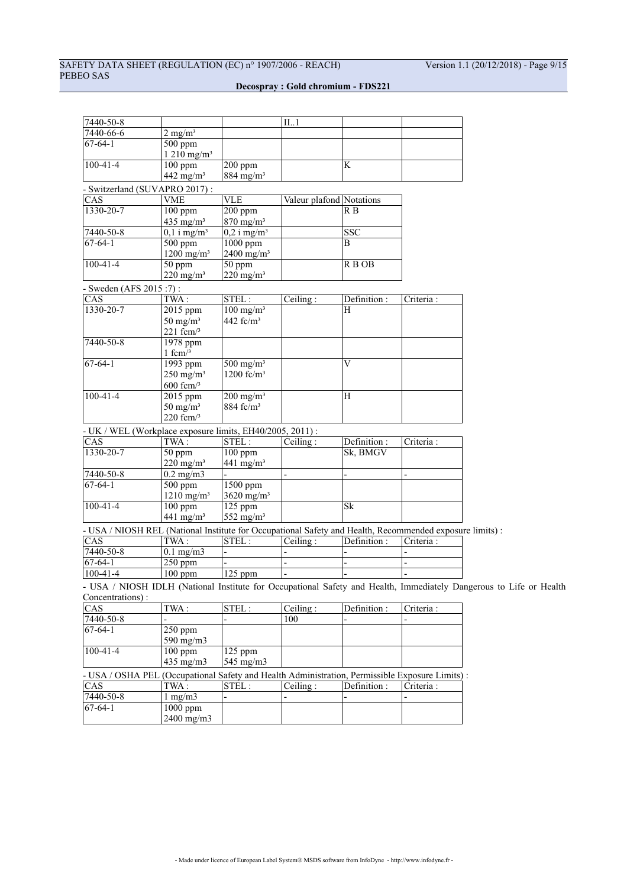# SAFETY DATA SHEET (REGULATION (EC) n° 1907/2006 - REACH) Version 1.1 (20/12/2018) - Page 9/15 PEBEO SAS

|                       |                                                                                                                                                                                                                                                                                                                                                                                                                                                                                                                                                                                                                                                                                                                                                    | II1                                                                                                                                                                                                                                                                                                                                                                                                                                                                                                                 |                                                                                                           |                                                                                                                                                                               |                                                                                                                                                                                                                                                                         |
|-----------------------|----------------------------------------------------------------------------------------------------------------------------------------------------------------------------------------------------------------------------------------------------------------------------------------------------------------------------------------------------------------------------------------------------------------------------------------------------------------------------------------------------------------------------------------------------------------------------------------------------------------------------------------------------------------------------------------------------------------------------------------------------|---------------------------------------------------------------------------------------------------------------------------------------------------------------------------------------------------------------------------------------------------------------------------------------------------------------------------------------------------------------------------------------------------------------------------------------------------------------------------------------------------------------------|-----------------------------------------------------------------------------------------------------------|-------------------------------------------------------------------------------------------------------------------------------------------------------------------------------|-------------------------------------------------------------------------------------------------------------------------------------------------------------------------------------------------------------------------------------------------------------------------|
| $2$ mg/m <sup>3</sup> |                                                                                                                                                                                                                                                                                                                                                                                                                                                                                                                                                                                                                                                                                                                                                    |                                                                                                                                                                                                                                                                                                                                                                                                                                                                                                                     |                                                                                                           |                                                                                                                                                                               |                                                                                                                                                                                                                                                                         |
| 500 ppm               |                                                                                                                                                                                                                                                                                                                                                                                                                                                                                                                                                                                                                                                                                                                                                    |                                                                                                                                                                                                                                                                                                                                                                                                                                                                                                                     |                                                                                                           |                                                                                                                                                                               |                                                                                                                                                                                                                                                                         |
|                       |                                                                                                                                                                                                                                                                                                                                                                                                                                                                                                                                                                                                                                                                                                                                                    |                                                                                                                                                                                                                                                                                                                                                                                                                                                                                                                     |                                                                                                           |                                                                                                                                                                               |                                                                                                                                                                                                                                                                         |
|                       |                                                                                                                                                                                                                                                                                                                                                                                                                                                                                                                                                                                                                                                                                                                                                    |                                                                                                                                                                                                                                                                                                                                                                                                                                                                                                                     |                                                                                                           |                                                                                                                                                                               |                                                                                                                                                                                                                                                                         |
|                       |                                                                                                                                                                                                                                                                                                                                                                                                                                                                                                                                                                                                                                                                                                                                                    |                                                                                                                                                                                                                                                                                                                                                                                                                                                                                                                     |                                                                                                           |                                                                                                                                                                               |                                                                                                                                                                                                                                                                         |
|                       |                                                                                                                                                                                                                                                                                                                                                                                                                                                                                                                                                                                                                                                                                                                                                    |                                                                                                                                                                                                                                                                                                                                                                                                                                                                                                                     |                                                                                                           |                                                                                                                                                                               |                                                                                                                                                                                                                                                                         |
|                       |                                                                                                                                                                                                                                                                                                                                                                                                                                                                                                                                                                                                                                                                                                                                                    |                                                                                                                                                                                                                                                                                                                                                                                                                                                                                                                     |                                                                                                           |                                                                                                                                                                               |                                                                                                                                                                                                                                                                         |
|                       |                                                                                                                                                                                                                                                                                                                                                                                                                                                                                                                                                                                                                                                                                                                                                    |                                                                                                                                                                                                                                                                                                                                                                                                                                                                                                                     |                                                                                                           |                                                                                                                                                                               |                                                                                                                                                                                                                                                                         |
|                       |                                                                                                                                                                                                                                                                                                                                                                                                                                                                                                                                                                                                                                                                                                                                                    |                                                                                                                                                                                                                                                                                                                                                                                                                                                                                                                     |                                                                                                           |                                                                                                                                                                               |                                                                                                                                                                                                                                                                         |
|                       |                                                                                                                                                                                                                                                                                                                                                                                                                                                                                                                                                                                                                                                                                                                                                    |                                                                                                                                                                                                                                                                                                                                                                                                                                                                                                                     |                                                                                                           |                                                                                                                                                                               |                                                                                                                                                                                                                                                                         |
|                       |                                                                                                                                                                                                                                                                                                                                                                                                                                                                                                                                                                                                                                                                                                                                                    |                                                                                                                                                                                                                                                                                                                                                                                                                                                                                                                     |                                                                                                           |                                                                                                                                                                               |                                                                                                                                                                                                                                                                         |
|                       |                                                                                                                                                                                                                                                                                                                                                                                                                                                                                                                                                                                                                                                                                                                                                    |                                                                                                                                                                                                                                                                                                                                                                                                                                                                                                                     |                                                                                                           |                                                                                                                                                                               |                                                                                                                                                                                                                                                                         |
|                       |                                                                                                                                                                                                                                                                                                                                                                                                                                                                                                                                                                                                                                                                                                                                                    |                                                                                                                                                                                                                                                                                                                                                                                                                                                                                                                     |                                                                                                           |                                                                                                                                                                               |                                                                                                                                                                                                                                                                         |
|                       |                                                                                                                                                                                                                                                                                                                                                                                                                                                                                                                                                                                                                                                                                                                                                    |                                                                                                                                                                                                                                                                                                                                                                                                                                                                                                                     |                                                                                                           |                                                                                                                                                                               |                                                                                                                                                                                                                                                                         |
|                       |                                                                                                                                                                                                                                                                                                                                                                                                                                                                                                                                                                                                                                                                                                                                                    |                                                                                                                                                                                                                                                                                                                                                                                                                                                                                                                     |                                                                                                           |                                                                                                                                                                               |                                                                                                                                                                                                                                                                         |
|                       |                                                                                                                                                                                                                                                                                                                                                                                                                                                                                                                                                                                                                                                                                                                                                    |                                                                                                                                                                                                                                                                                                                                                                                                                                                                                                                     |                                                                                                           |                                                                                                                                                                               |                                                                                                                                                                                                                                                                         |
|                       |                                                                                                                                                                                                                                                                                                                                                                                                                                                                                                                                                                                                                                                                                                                                                    |                                                                                                                                                                                                                                                                                                                                                                                                                                                                                                                     |                                                                                                           |                                                                                                                                                                               |                                                                                                                                                                                                                                                                         |
|                       |                                                                                                                                                                                                                                                                                                                                                                                                                                                                                                                                                                                                                                                                                                                                                    |                                                                                                                                                                                                                                                                                                                                                                                                                                                                                                                     |                                                                                                           |                                                                                                                                                                               |                                                                                                                                                                                                                                                                         |
|                       |                                                                                                                                                                                                                                                                                                                                                                                                                                                                                                                                                                                                                                                                                                                                                    |                                                                                                                                                                                                                                                                                                                                                                                                                                                                                                                     |                                                                                                           |                                                                                                                                                                               |                                                                                                                                                                                                                                                                         |
|                       |                                                                                                                                                                                                                                                                                                                                                                                                                                                                                                                                                                                                                                                                                                                                                    |                                                                                                                                                                                                                                                                                                                                                                                                                                                                                                                     |                                                                                                           |                                                                                                                                                                               |                                                                                                                                                                                                                                                                         |
|                       |                                                                                                                                                                                                                                                                                                                                                                                                                                                                                                                                                                                                                                                                                                                                                    |                                                                                                                                                                                                                                                                                                                                                                                                                                                                                                                     |                                                                                                           |                                                                                                                                                                               |                                                                                                                                                                                                                                                                         |
|                       |                                                                                                                                                                                                                                                                                                                                                                                                                                                                                                                                                                                                                                                                                                                                                    |                                                                                                                                                                                                                                                                                                                                                                                                                                                                                                                     |                                                                                                           |                                                                                                                                                                               |                                                                                                                                                                                                                                                                         |
|                       |                                                                                                                                                                                                                                                                                                                                                                                                                                                                                                                                                                                                                                                                                                                                                    |                                                                                                                                                                                                                                                                                                                                                                                                                                                                                                                     |                                                                                                           |                                                                                                                                                                               |                                                                                                                                                                                                                                                                         |
|                       |                                                                                                                                                                                                                                                                                                                                                                                                                                                                                                                                                                                                                                                                                                                                                    |                                                                                                                                                                                                                                                                                                                                                                                                                                                                                                                     |                                                                                                           |                                                                                                                                                                               |                                                                                                                                                                                                                                                                         |
|                       |                                                                                                                                                                                                                                                                                                                                                                                                                                                                                                                                                                                                                                                                                                                                                    |                                                                                                                                                                                                                                                                                                                                                                                                                                                                                                                     |                                                                                                           |                                                                                                                                                                               |                                                                                                                                                                                                                                                                         |
|                       |                                                                                                                                                                                                                                                                                                                                                                                                                                                                                                                                                                                                                                                                                                                                                    |                                                                                                                                                                                                                                                                                                                                                                                                                                                                                                                     |                                                                                                           |                                                                                                                                                                               |                                                                                                                                                                                                                                                                         |
|                       |                                                                                                                                                                                                                                                                                                                                                                                                                                                                                                                                                                                                                                                                                                                                                    |                                                                                                                                                                                                                                                                                                                                                                                                                                                                                                                     |                                                                                                           |                                                                                                                                                                               |                                                                                                                                                                                                                                                                         |
|                       |                                                                                                                                                                                                                                                                                                                                                                                                                                                                                                                                                                                                                                                                                                                                                    |                                                                                                                                                                                                                                                                                                                                                                                                                                                                                                                     |                                                                                                           |                                                                                                                                                                               |                                                                                                                                                                                                                                                                         |
|                       |                                                                                                                                                                                                                                                                                                                                                                                                                                                                                                                                                                                                                                                                                                                                                    |                                                                                                                                                                                                                                                                                                                                                                                                                                                                                                                     |                                                                                                           |                                                                                                                                                                               |                                                                                                                                                                                                                                                                         |
|                       |                                                                                                                                                                                                                                                                                                                                                                                                                                                                                                                                                                                                                                                                                                                                                    |                                                                                                                                                                                                                                                                                                                                                                                                                                                                                                                     |                                                                                                           |                                                                                                                                                                               |                                                                                                                                                                                                                                                                         |
|                       |                                                                                                                                                                                                                                                                                                                                                                                                                                                                                                                                                                                                                                                                                                                                                    |                                                                                                                                                                                                                                                                                                                                                                                                                                                                                                                     |                                                                                                           |                                                                                                                                                                               |                                                                                                                                                                                                                                                                         |
|                       |                                                                                                                                                                                                                                                                                                                                                                                                                                                                                                                                                                                                                                                                                                                                                    |                                                                                                                                                                                                                                                                                                                                                                                                                                                                                                                     |                                                                                                           |                                                                                                                                                                               |                                                                                                                                                                                                                                                                         |
|                       |                                                                                                                                                                                                                                                                                                                                                                                                                                                                                                                                                                                                                                                                                                                                                    |                                                                                                                                                                                                                                                                                                                                                                                                                                                                                                                     |                                                                                                           | $\overline{\phantom{0}}$                                                                                                                                                      |                                                                                                                                                                                                                                                                         |
|                       |                                                                                                                                                                                                                                                                                                                                                                                                                                                                                                                                                                                                                                                                                                                                                    |                                                                                                                                                                                                                                                                                                                                                                                                                                                                                                                     |                                                                                                           |                                                                                                                                                                               |                                                                                                                                                                                                                                                                         |
|                       |                                                                                                                                                                                                                                                                                                                                                                                                                                                                                                                                                                                                                                                                                                                                                    |                                                                                                                                                                                                                                                                                                                                                                                                                                                                                                                     |                                                                                                           |                                                                                                                                                                               |                                                                                                                                                                                                                                                                         |
|                       |                                                                                                                                                                                                                                                                                                                                                                                                                                                                                                                                                                                                                                                                                                                                                    |                                                                                                                                                                                                                                                                                                                                                                                                                                                                                                                     |                                                                                                           |                                                                                                                                                                               |                                                                                                                                                                                                                                                                         |
|                       |                                                                                                                                                                                                                                                                                                                                                                                                                                                                                                                                                                                                                                                                                                                                                    |                                                                                                                                                                                                                                                                                                                                                                                                                                                                                                                     |                                                                                                           |                                                                                                                                                                               |                                                                                                                                                                                                                                                                         |
|                       |                                                                                                                                                                                                                                                                                                                                                                                                                                                                                                                                                                                                                                                                                                                                                    |                                                                                                                                                                                                                                                                                                                                                                                                                                                                                                                     |                                                                                                           |                                                                                                                                                                               |                                                                                                                                                                                                                                                                         |
| TWA:                  |                                                                                                                                                                                                                                                                                                                                                                                                                                                                                                                                                                                                                                                                                                                                                    |                                                                                                                                                                                                                                                                                                                                                                                                                                                                                                                     |                                                                                                           | Criteria:                                                                                                                                                                     |                                                                                                                                                                                                                                                                         |
|                       |                                                                                                                                                                                                                                                                                                                                                                                                                                                                                                                                                                                                                                                                                                                                                    |                                                                                                                                                                                                                                                                                                                                                                                                                                                                                                                     |                                                                                                           |                                                                                                                                                                               |                                                                                                                                                                                                                                                                         |
|                       |                                                                                                                                                                                                                                                                                                                                                                                                                                                                                                                                                                                                                                                                                                                                                    |                                                                                                                                                                                                                                                                                                                                                                                                                                                                                                                     |                                                                                                           |                                                                                                                                                                               |                                                                                                                                                                                                                                                                         |
|                       |                                                                                                                                                                                                                                                                                                                                                                                                                                                                                                                                                                                                                                                                                                                                                    |                                                                                                                                                                                                                                                                                                                                                                                                                                                                                                                     |                                                                                                           |                                                                                                                                                                               |                                                                                                                                                                                                                                                                         |
|                       |                                                                                                                                                                                                                                                                                                                                                                                                                                                                                                                                                                                                                                                                                                                                                    |                                                                                                                                                                                                                                                                                                                                                                                                                                                                                                                     |                                                                                                           |                                                                                                                                                                               |                                                                                                                                                                                                                                                                         |
|                       |                                                                                                                                                                                                                                                                                                                                                                                                                                                                                                                                                                                                                                                                                                                                                    |                                                                                                                                                                                                                                                                                                                                                                                                                                                                                                                     |                                                                                                           |                                                                                                                                                                               |                                                                                                                                                                                                                                                                         |
|                       |                                                                                                                                                                                                                                                                                                                                                                                                                                                                                                                                                                                                                                                                                                                                                    |                                                                                                                                                                                                                                                                                                                                                                                                                                                                                                                     |                                                                                                           |                                                                                                                                                                               |                                                                                                                                                                                                                                                                         |
|                       |                                                                                                                                                                                                                                                                                                                                                                                                                                                                                                                                                                                                                                                                                                                                                    | 100                                                                                                                                                                                                                                                                                                                                                                                                                                                                                                                 |                                                                                                           |                                                                                                                                                                               |                                                                                                                                                                                                                                                                         |
|                       |                                                                                                                                                                                                                                                                                                                                                                                                                                                                                                                                                                                                                                                                                                                                                    |                                                                                                                                                                                                                                                                                                                                                                                                                                                                                                                     |                                                                                                           |                                                                                                                                                                               |                                                                                                                                                                                                                                                                         |
|                       |                                                                                                                                                                                                                                                                                                                                                                                                                                                                                                                                                                                                                                                                                                                                                    |                                                                                                                                                                                                                                                                                                                                                                                                                                                                                                                     |                                                                                                           |                                                                                                                                                                               |                                                                                                                                                                                                                                                                         |
| $\overline{250}$ ppm  |                                                                                                                                                                                                                                                                                                                                                                                                                                                                                                                                                                                                                                                                                                                                                    |                                                                                                                                                                                                                                                                                                                                                                                                                                                                                                                     |                                                                                                           |                                                                                                                                                                               |                                                                                                                                                                                                                                                                         |
| 590 mg/m3             |                                                                                                                                                                                                                                                                                                                                                                                                                                                                                                                                                                                                                                                                                                                                                    |                                                                                                                                                                                                                                                                                                                                                                                                                                                                                                                     |                                                                                                           |                                                                                                                                                                               |                                                                                                                                                                                                                                                                         |
| $100$ ppm             | 125 ppm                                                                                                                                                                                                                                                                                                                                                                                                                                                                                                                                                                                                                                                                                                                                            |                                                                                                                                                                                                                                                                                                                                                                                                                                                                                                                     |                                                                                                           |                                                                                                                                                                               |                                                                                                                                                                                                                                                                         |
| 435 mg/m3             | 545 mg/m3                                                                                                                                                                                                                                                                                                                                                                                                                                                                                                                                                                                                                                                                                                                                          |                                                                                                                                                                                                                                                                                                                                                                                                                                                                                                                     |                                                                                                           |                                                                                                                                                                               |                                                                                                                                                                                                                                                                         |
|                       |                                                                                                                                                                                                                                                                                                                                                                                                                                                                                                                                                                                                                                                                                                                                                    | - USA / OSHA PEL (Occupational Safety and Health Administration, Permissible Exposure Limits) :                                                                                                                                                                                                                                                                                                                                                                                                                     |                                                                                                           |                                                                                                                                                                               |                                                                                                                                                                                                                                                                         |
| TWA:                  | STEL:                                                                                                                                                                                                                                                                                                                                                                                                                                                                                                                                                                                                                                                                                                                                              | Ceiling:                                                                                                                                                                                                                                                                                                                                                                                                                                                                                                            | Definition :                                                                                              | Criteria :                                                                                                                                                                    |                                                                                                                                                                                                                                                                         |
| $1 \text{ mg/m}$      |                                                                                                                                                                                                                                                                                                                                                                                                                                                                                                                                                                                                                                                                                                                                                    |                                                                                                                                                                                                                                                                                                                                                                                                                                                                                                                     |                                                                                                           |                                                                                                                                                                               |                                                                                                                                                                                                                                                                         |
| $1000$ ppm            |                                                                                                                                                                                                                                                                                                                                                                                                                                                                                                                                                                                                                                                                                                                                                    |                                                                                                                                                                                                                                                                                                                                                                                                                                                                                                                     |                                                                                                           |                                                                                                                                                                               |                                                                                                                                                                                                                                                                         |
|                       | $1210$ mg/m <sup>3</sup><br>$100$ ppm<br>442 mg/m <sup>3</sup><br>- Switzerland (SUVAPRO 2017):<br><b>VME</b><br>$100$ ppm<br>435 mg/m <sup>3</sup><br>$0,1$ i mg/m <sup>3</sup><br>$500$ ppm<br>$1200$ mg/m <sup>3</sup><br>50 ppm<br>$220$ mg/m <sup>3</sup><br>- Sweden (AFS 2015:7):<br>TWA:<br>$\overline{2015}$ ppm<br>$50$ mg/m <sup>3</sup><br>221 fcm $/3$<br>$1978$ ppm<br>$1 \text{ fcm}$ <sup>3</sup><br>1993 ppm<br>$250$ mg/m <sup>3</sup><br>$600 \text{ fm}$ <sup>3</sup><br>$2015$ ppm<br>$50 \text{ mg/m}^3$<br>220 fcm $/3$<br>TWA:<br>50 ppm<br>$220$ mg/m <sup>3</sup><br>$0.2 \text{ mg/m}$<br>500 ppm<br>$1210$ mg/m <sup>3</sup><br>$100$ ppm<br>441 mg/m <sup>3</sup><br>$0.1$ mg/m $3$<br>$250$ ppm<br>$100$ ppm<br>TWA: | $200$ ppm<br>$884$ mg/m <sup>3</sup><br><b>VLE</b><br>$200$ ppm<br>$870$ mg/m <sup>3</sup><br>$0,2$ i mg/m <sup>3</sup><br>$1000$ ppm<br>$2400$ mg/m <sup>3</sup><br>50 ppm<br>$220$ mg/m <sup>3</sup><br>STEL:<br>$100$ mg/m <sup>3</sup><br>442 fc/m <sup>3</sup><br>$500$ mg/m <sup>3</sup><br>1200 fc/ $m3$<br>$200 \text{ mg/m}^3$<br>884 fc/m <sup>3</sup><br>STEL:<br>$100$ ppm<br>441 mg/m <sup>3</sup><br>1500 ppm<br>$3620$ mg/m <sup>3</sup><br>$125$ ppm<br>552 mg/m $3$<br>STEL:<br>$125$ ppm<br>STEL: | Ceiling:<br>- UK / WEL (Workplace exposure limits, EH40/2005, 2011) :<br>Ceiling:<br>Ceiling:<br>Ceiling: | K<br>Valeur plafond Notations<br>R B<br>SSC<br>B<br>R B OB<br>Definition :<br>H<br>V<br>H<br>Definition:<br>Sk, BMGV<br>$\overline{\text{Sk}}$<br>Definition :<br>Definition: | Criteria :<br>Criteria :<br>- USA / NIOSH REL (National Institute for Occupational Safety and Health, Recommended exposure limits) :<br>- USA / NIOSH IDLH (National Institute for Occupational Safety and Health, Immediately Dangerous to Life or Health<br>Criteria: |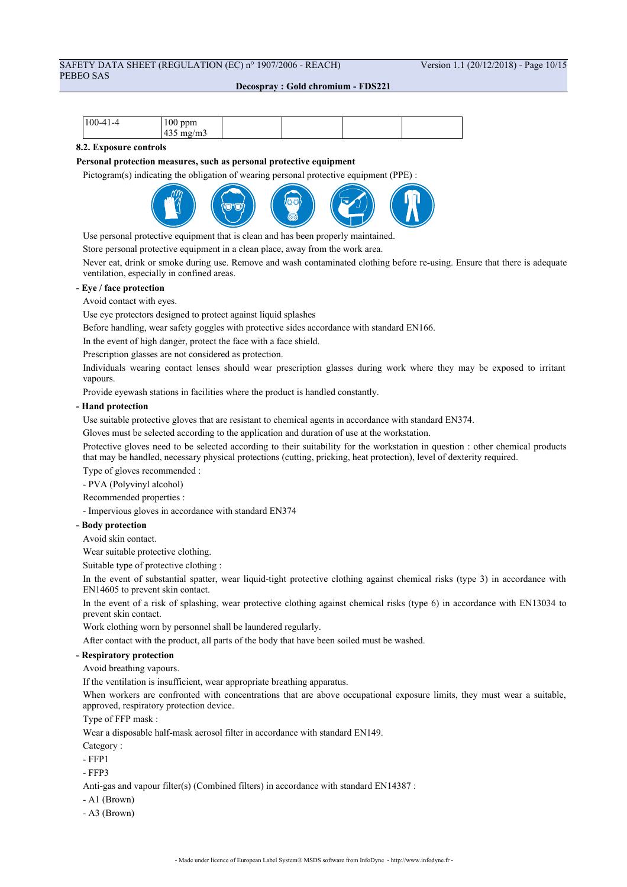## SAFETY DATA SHEET (REGULATION (EC) n° 1907/2006 - REACH) Version 1.1 (20/12/2018) - Page 10/15 PEBEO SAS

**Decospray : Gold chromium - FDS221**

| $ 100-41-4 $ | $100$ ppm     |  |  |
|--------------|---------------|--|--|
|              | mg/m3<br>້າງວ |  |  |

### **8.2. Exposure controls**

#### **Personal protection measures, such as personal protective equipment**

Pictogram(s) indicating the obligation of wearing personal protective equipment (PPE) :



Use personal protective equipment that is clean and has been properly maintained.

Store personal protective equipment in a clean place, away from the work area.

Never eat, drink or smoke during use. Remove and wash contaminated clothing before re-using. Ensure that there is adequate ventilation, especially in confined areas.

#### **- Eye / face protection**

Avoid contact with eyes.

Use eye protectors designed to protect against liquid splashes

Before handling, wear safety goggles with protective sides accordance with standard EN166.

In the event of high danger, protect the face with a face shield.

Prescription glasses are not considered as protection.

Individuals wearing contact lenses should wear prescription glasses during work where they may be exposed to irritant vapours.

Provide eyewash stations in facilities where the product is handled constantly.

#### **- Hand protection**

Use suitable protective gloves that are resistant to chemical agents in accordance with standard EN374.

Gloves must be selected according to the application and duration of use at the workstation.

Protective gloves need to be selected according to their suitability for the workstation in question : other chemical products that may be handled, necessary physical protections (cutting, pricking, heat protection), level of dexterity required.

Type of gloves recommended :

- PVA (Polyvinyl alcohol)

Recommended properties :

- Impervious gloves in accordance with standard EN374

#### **- Body protection**

Avoid skin contact.

Wear suitable protective clothing.

Suitable type of protective clothing :

In the event of substantial spatter, wear liquid-tight protective clothing against chemical risks (type 3) in accordance with EN14605 to prevent skin contact.

In the event of a risk of splashing, wear protective clothing against chemical risks (type 6) in accordance with EN13034 to prevent skin contact.

Work clothing worn by personnel shall be laundered regularly.

After contact with the product, all parts of the body that have been soiled must be washed.

## **- Respiratory protection**

Avoid breathing vapours.

If the ventilation is insufficient, wear appropriate breathing apparatus.

When workers are confronted with concentrations that are above occupational exposure limits, they must wear a suitable, approved, respiratory protection device.

Type of FFP mask :

Wear a disposable half-mask aerosol filter in accordance with standard EN149.

Category ·

- FFP1

- FFP3

Anti-gas and vapour filter(s) (Combined filters) in accordance with standard EN14387 :

- A1 (Brown)
- A3 (Brown)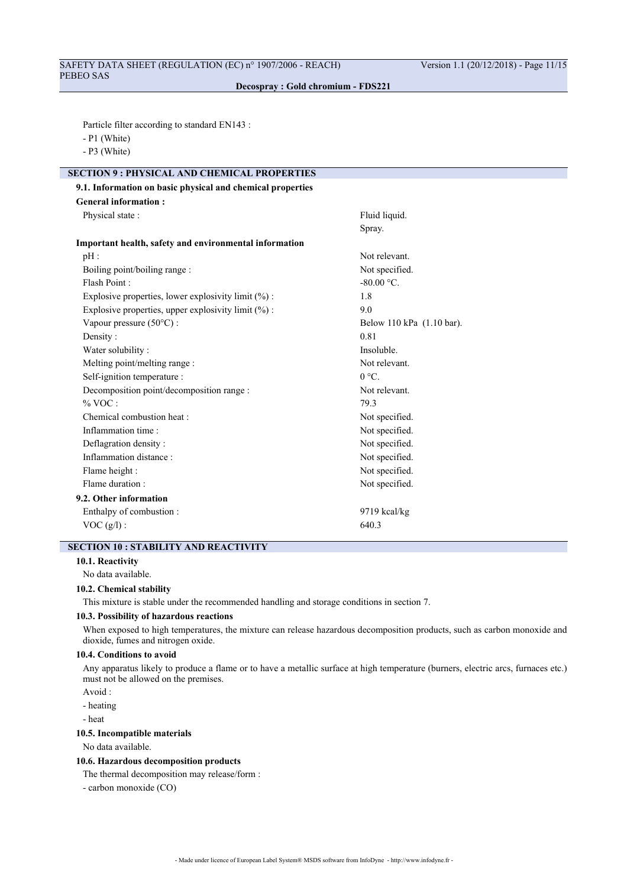Particle filter according to standard EN143 :

- P1 (White)
- P3 (White)

## **SECTION 9 : PHYSICAL AND CHEMICAL PROPERTIES 9.1. Information on basic physical and chemical properties**

| <b>General information:</b>                            |                           |
|--------------------------------------------------------|---------------------------|
| Physical state:                                        | Fluid liquid.             |
|                                                        | Spray.                    |
| Important health, safety and environmental information |                           |
| pH:                                                    | Not relevant.             |
| Boiling point/boiling range :                          | Not specified.            |
| Flash Point:                                           | $-80.00$ °C.              |
| Explosive properties, lower explosivity limit (%) :    | 1.8                       |
| Explosive properties, upper explosivity limit (%) :    | 9.0                       |
| Vapour pressure (50°C) :                               | Below 110 kPa (1.10 bar). |
| Density:                                               | 0.81                      |
| Water solubility:                                      | Insoluble.                |
| Melting point/melting range :                          | Not relevant.             |
| Self-ignition temperature :                            | $0 °C$ .                  |
| Decomposition point/decomposition range :              | Not relevant.             |
| % VOC:                                                 | 79.3                      |
| Chemical combustion heat :                             | Not specified.            |
| Inflammation time:                                     | Not specified.            |
| Deflagration density:                                  | Not specified.            |
| Inflammation distance:                                 | Not specified.            |
| Flame height :                                         | Not specified.            |
| Flame duration :                                       | Not specified.            |
| 9.2. Other information                                 |                           |
| Enthalpy of combustion:                                | $9719$ kcal/kg            |
| $VOC(g/l)$ :                                           | 640.3                     |

## **SECTION 10 : STABILITY AND REACTIVITY**

### **10.1. Reactivity**

No data available.

#### **10.2. Chemical stability**

This mixture is stable under the recommended handling and storage conditions in section 7.

### **10.3. Possibility of hazardous reactions**

When exposed to high temperatures, the mixture can release hazardous decomposition products, such as carbon monoxide and dioxide, fumes and nitrogen oxide.

### **10.4. Conditions to avoid**

Any apparatus likely to produce a flame or to have a metallic surface at high temperature (burners, electric arcs, furnaces etc.) must not be allowed on the premises.

Avoid :

- heating
- heat

## **10.5. Incompatible materials**

No data available.

#### **10.6. Hazardous decomposition products**

The thermal decomposition may release/form :

- carbon monoxide (CO)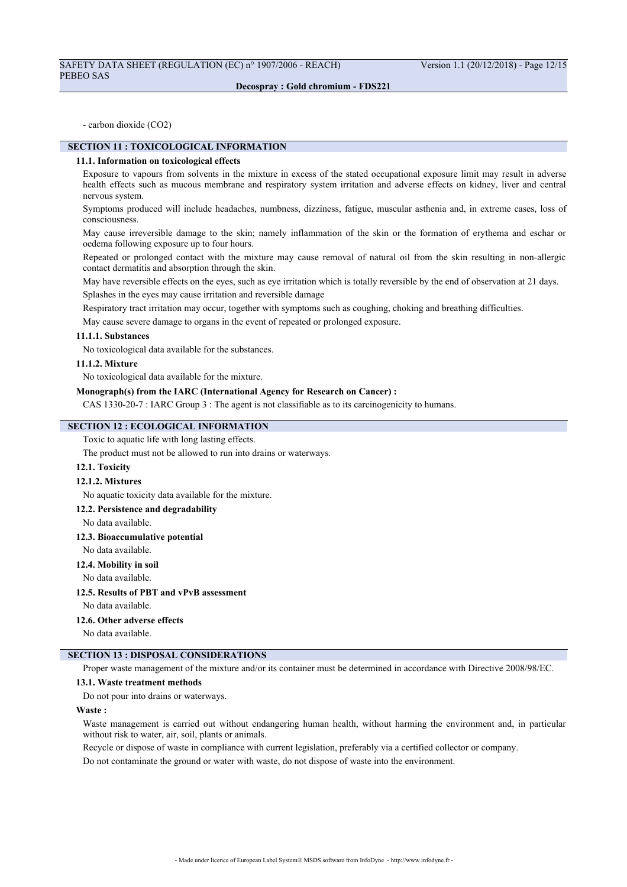- carbon dioxide (CO2)

## **SECTION 11 : TOXICOLOGICAL INFORMATION**

#### **11.1. Information on toxicological effects**

Exposure to vapours from solvents in the mixture in excess of the stated occupational exposure limit may result in adverse health effects such as mucous membrane and respiratory system irritation and adverse effects on kidney, liver and central nervous system.

Symptoms produced will include headaches, numbness, dizziness, fatigue, muscular asthenia and, in extreme cases, loss of consciousness.

May cause irreversible damage to the skin; namely inflammation of the skin or the formation of erythema and eschar or oedema following exposure up to four hours.

Repeated or prolonged contact with the mixture may cause removal of natural oil from the skin resulting in non-allergic contact dermatitis and absorption through the skin.

May have reversible effects on the eyes, such as eye irritation which is totally reversible by the end of observation at 21 days.

Splashes in the eyes may cause irritation and reversible damage

Respiratory tract irritation may occur, together with symptoms such as coughing, choking and breathing difficulties.

May cause severe damage to organs in the event of repeated or prolonged exposure.

#### **11.1.1. Substances**

No toxicological data available for the substances.

## **11.1.2. Mixture**

No toxicological data available for the mixture.

#### **Monograph(s) from the IARC (International Agency for Research on Cancer) :**

CAS 1330-20-7 : IARC Group 3 : The agent is not classifiable as to its carcinogenicity to humans.

## **SECTION 12 : ECOLOGICAL INFORMATION**

Toxic to aquatic life with long lasting effects.

The product must not be allowed to run into drains or waterways.

#### **12.1. Toxicity**

#### **12.1.2. Mixtures**

No aquatic toxicity data available for the mixture.

#### **12.2. Persistence and degradability**

No data available.

## **12.3. Bioaccumulative potential**

No data available.

## **12.4. Mobility in soil**

No data available.

## **12.5. Results of PBT and vPvB assessment**

No data available.

#### **12.6. Other adverse effects**

No data available.

## **SECTION 13 : DISPOSAL CONSIDERATIONS**

Proper waste management of the mixture and/or its container must be determined in accordance with Directive 2008/98/EC.

### **13.1. Waste treatment methods**

Do not pour into drains or waterways.

### **Waste :**

Waste management is carried out without endangering human health, without harming the environment and, in particular without risk to water, air, soil, plants or animals.

Recycle or dispose of waste in compliance with current legislation, preferably via a certified collector or company.

Do not contaminate the ground or water with waste, do not dispose of waste into the environment.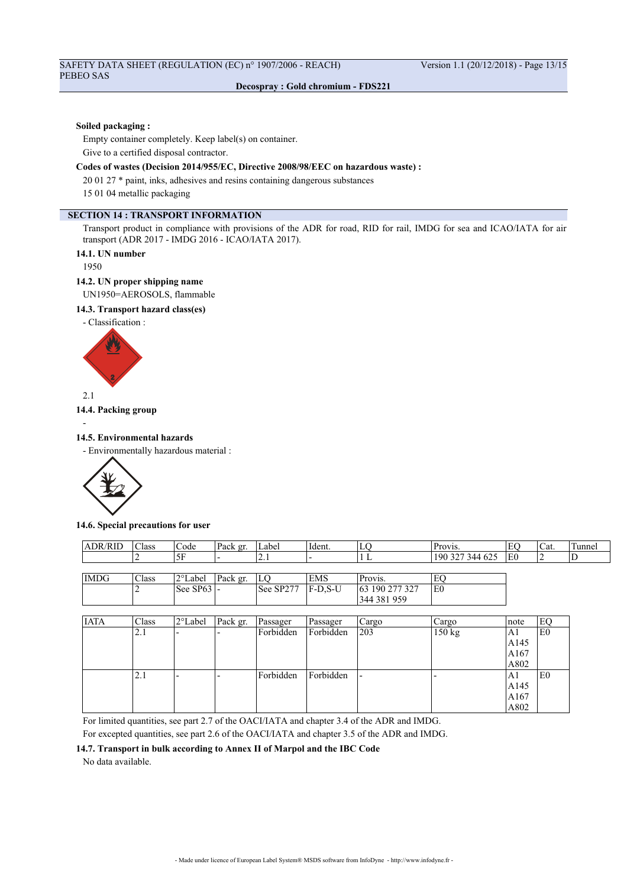#### **Soiled packaging :**

Empty container completely. Keep label(s) on container. Give to a certified disposal contractor.

## **Codes of wastes (Decision 2014/955/EC, Directive 2008/98/EEC on hazardous waste) :**

20 01 27 \* paint, inks, adhesives and resins containing dangerous substances

15 01 04 metallic packaging

## **SECTION 14 : TRANSPORT INFORMATION**

Transport product in compliance with provisions of the ADR for road, RID for rail, IMDG for sea and ICAO/IATA for air transport (ADR 2017 - IMDG 2016 - ICAO/IATA 2017).

## **14.1. UN number**

1950

### **14.2. UN proper shipping name**

UN1950=AEROSOLS, flammable

## **14.3. Transport hazard class(es)**

- Classification :



2.1

-

## **14.4. Packing group**

#### **14.5. Environmental hazards**

- Environmentally hazardous material :



#### **14.6. Special precautions for user**

| <b>ADR/RID</b> | <b>Class</b> | Code                       | Pack gr. | Label      | Ident.      | LC             | Provis.         | EC              | Cat. | Tunnel |
|----------------|--------------|----------------------------|----------|------------|-------------|----------------|-----------------|-----------------|------|--------|
|                |              | .5F                        |          | <u>2.1</u> |             |                | 190 327 344 625 | IE <sub>0</sub> |      |        |
|                |              |                            |          |            |             |                |                 |                 |      |        |
| <b>IMDG</b>    | Class        | l2°Label                   | Pack gr. | LO         | EMS         | Provis.        | E               |                 |      |        |
|                |              | $\vert$ See SP63 $\vert$ - |          | See SP277  | $ F-D.S-U $ | 63 190 277 327 | l E0            |                 |      |        |
|                |              |                            |          |            |             | 344 381 959    |                 |                 |      |        |

| <b>IATA</b> | Class | 2°Label                  | Pack gr. | Passager  | Passager  | Cargo                    | Cargo  | Inote | EO             |
|-------------|-------|--------------------------|----------|-----------|-----------|--------------------------|--------|-------|----------------|
|             | 2.1   | $\overline{\phantom{0}}$ |          | Forbidden | Forbidden | 203                      | 150 kg | A1    | E0             |
|             |       |                          |          |           |           |                          |        | A145  |                |
|             |       |                          |          |           |           |                          |        | A167  |                |
|             |       |                          |          |           |           |                          |        | A802  |                |
|             | 2.1   | -                        |          | Forbidden | Forbidden | $\overline{\phantom{0}}$ |        | A1    | E <sub>0</sub> |
|             |       |                          |          |           |           |                          |        | A145  |                |
|             |       |                          |          |           |           |                          |        | A167  |                |
|             |       |                          |          |           |           |                          |        | A802  |                |

For limited quantities, see part 2.7 of the OACI/IATA and chapter 3.4 of the ADR and IMDG.

For excepted quantities, see part 2.6 of the OACI/IATA and chapter 3.5 of the ADR and IMDG.

#### **14.7. Transport in bulk according to Annex II of Marpol and the IBC Code**

No data available.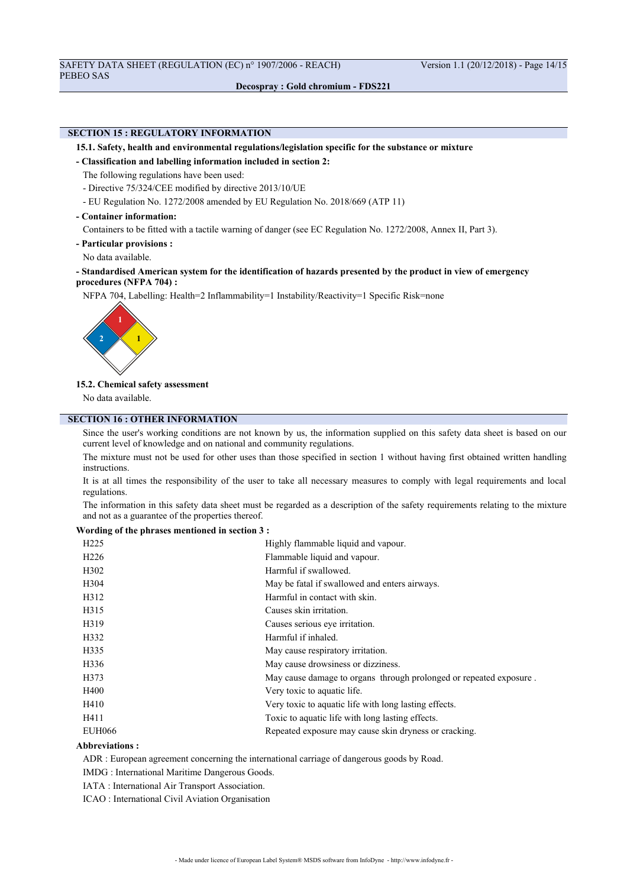## **SECTION 15 : REGULATORY INFORMATION**

#### **15.1. Safety, health and environmental regulations/legislation specific for the substance or mixture**

**- Classification and labelling information included in section 2:**

The following regulations have been used:

- Directive 75/324/CEE modified by directive 2013/10/UE
- EU Regulation No. 1272/2008 amended by EU Regulation No. 2018/669 (ATP 11)

#### **- Container information:**

Containers to be fitted with a tactile warning of danger (see EC Regulation No. 1272/2008, Annex II, Part 3).

- **Particular provisions :**
- No data available.

## **- Standardised American system for the identification of hazards presented by the product in view of emergency procedures (NFPA 704) :**

NFPA 704, Labelling: Health=2 Inflammability=1 Instability/Reactivity=1 Specific Risk=none



## **15.2. Chemical safety assessment**

No data available.

## **SECTION 16 : OTHER INFORMATION**

Since the user's working conditions are not known by us, the information supplied on this safety data sheet is based on our current level of knowledge and on national and community regulations.

The mixture must not be used for other uses than those specified in section 1 without having first obtained written handling instructions.

It is at all times the responsibility of the user to take all necessary measures to comply with legal requirements and local regulations.

The information in this safety data sheet must be regarded as a description of the safety requirements relating to the mixture and not as a guarantee of the properties thereof.

#### **Wording of the phrases mentioned in section 3 :**

| H <sub>225</sub> | Highly flammable liquid and vapour.                                |
|------------------|--------------------------------------------------------------------|
| H <sub>226</sub> | Flammable liquid and vapour.                                       |
| H <sub>302</sub> | Harmful if swallowed.                                              |
| H304             | May be fatal if swallowed and enters airways.                      |
| H312             | Harmful in contact with skin.                                      |
| H315             | Causes skin irritation.                                            |
| H319             | Causes serious eye irritation.                                     |
| H332             | Harmful if inhaled.                                                |
| H335             | May cause respiratory irritation.                                  |
| H336             | May cause drowsiness or dizziness.                                 |
| H373             | May cause damage to organs through prolonged or repeated exposure. |
| H400             | Very toxic to aquatic life.                                        |
| H410             | Very toxic to aquatic life with long lasting effects.              |
| H411             | Toxic to aquatic life with long lasting effects.                   |
| <b>EUH066</b>    | Repeated exposure may cause skin dryness or cracking.              |

## **Abbreviations :**

ADR : European agreement concerning the international carriage of dangerous goods by Road.

IMDG : International Maritime Dangerous Goods.

IATA : International Air Transport Association.

ICAO : International Civil Aviation Organisation